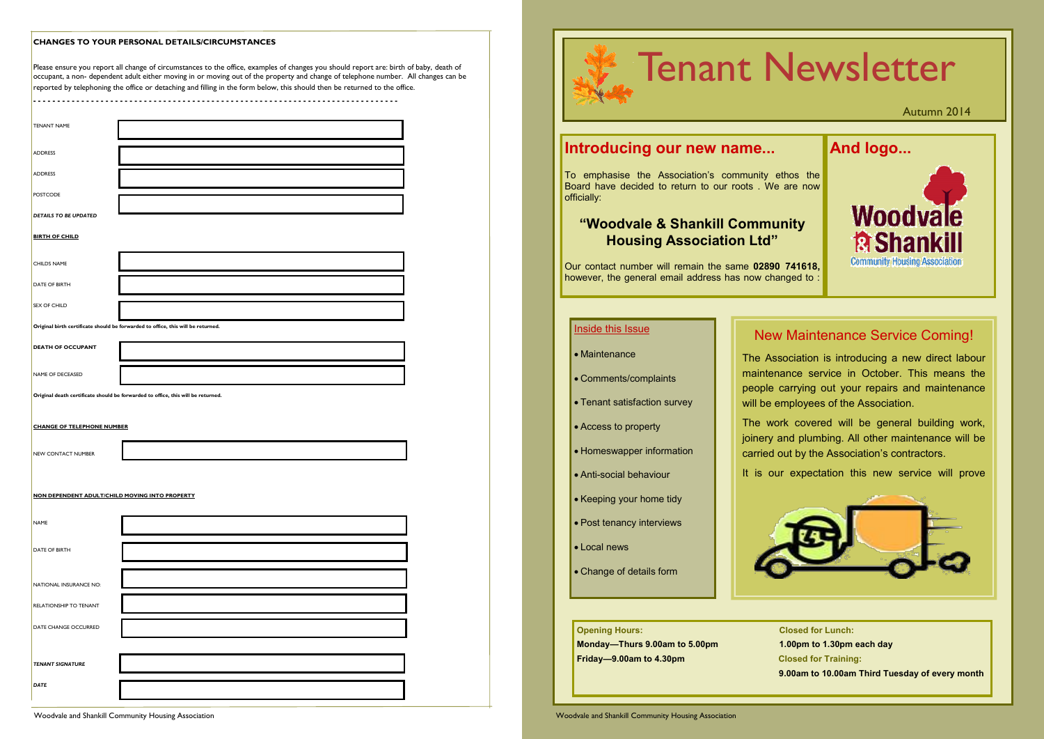|  | <b>CHANGES TO YOUR PERSONAL DETAILS/CIRCUMSTANCES</b> |  |  |
|--|-------------------------------------------------------|--|--|
|--|-------------------------------------------------------|--|--|

Please ensure you report all change of circumstances to the office, examples of changes you should report are: birth of baby, death of occupant, a non- dependent adult either moving in or moving out of the property and change of telephone number. All changes can be  $r$ eported by telephoning the office or detaching and filling in the form below, this should then be returned to the office.

**- - - - - - - - - - - - - - - - - - - - - - - - - - - - - - - - - - - - - - - - - - - - - - - - - - - - - - - - - - - - - - - - - - - - - - - - - - - -**

| <b>TENANT NAME</b>                |                                                                                  |
|-----------------------------------|----------------------------------------------------------------------------------|
| <b>ADDRESS</b>                    |                                                                                  |
| <b>ADDRESS</b>                    |                                                                                  |
| <b>POSTCODE</b>                   |                                                                                  |
| DETAILS TO BE UPDATED             |                                                                                  |
| <b>BIRTH OF CHILD</b>             |                                                                                  |
| <b>CHILDS NAME</b>                |                                                                                  |
| DATE OF BIRTH                     |                                                                                  |
| SEX OF CHILD                      |                                                                                  |
|                                   | Original birth certificate should be forwarded to office, this will be returned. |
| <b>DEATH OF OCCUPANT</b>          |                                                                                  |
| NAME OF DECEASED                  |                                                                                  |
|                                   | Original death certificate should be forwarded to office, this will be returned. |
| <b>CHANGE OF TELEPHONE NUMBER</b> |                                                                                  |
|                                   |                                                                                  |
| NEW CONTACT NUMBER                |                                                                                  |
|                                   |                                                                                  |
|                                   | NON DEPENDENT ADULT/CHILD MOVING INTO PROPERTY                                   |
| NAME                              |                                                                                  |
| DATE OF BIRTH                     |                                                                                  |
|                                   |                                                                                  |
| NATIONAL INSURANCE NO:            |                                                                                  |
| RELATIONSHIP TO TENANT            |                                                                                  |
| DATE CHANGE OCCURRED              |                                                                                  |
|                                   |                                                                                  |
| <b>TENANT SIGNATURE</b>           |                                                                                  |
| <b>DATE</b>                       |                                                                                  |
|                                   |                                                                                  |

**Sed for Lunch: Opm to 1.30pm each day Sed for Training: 9.00am to 10.00am Third Tuesday of every month**

• Change of details form

|  |                                                                                                                            |  | <b>Ienant Ney</b>                  |  |  |  |  |
|--|----------------------------------------------------------------------------------------------------------------------------|--|------------------------------------|--|--|--|--|
|  | Introducing our new name                                                                                                   |  |                                    |  |  |  |  |
|  | To emphasise the Association's community ethos the<br>Board have decided to return to our roots. We are now<br>officially: |  |                                    |  |  |  |  |
|  | "Woodvale & Shankill Community<br><b>Housing Association Ltd"</b>                                                          |  |                                    |  |  |  |  |
|  | Our contact number will remain the same 02890 741618,<br>however, the general email address has now changed to:            |  |                                    |  |  |  |  |
|  |                                                                                                                            |  |                                    |  |  |  |  |
|  | <b>Inside this Issue</b>                                                                                                   |  | <b>New Maint</b>                   |  |  |  |  |
|  | • Maintenance                                                                                                              |  | The Association                    |  |  |  |  |
|  | • Comments/complaints                                                                                                      |  | maintenance ser<br>people carrying |  |  |  |  |
|  | • Tenant satisfaction survey                                                                                               |  | will be employees                  |  |  |  |  |
|  | • Access to property                                                                                                       |  | The work cover<br>joinery and plum |  |  |  |  |
|  | • Homeswapper information                                                                                                  |  | carried out by the                 |  |  |  |  |
|  | • Anti-social behaviour                                                                                                    |  | It is our expecta                  |  |  |  |  |
|  | • Keeping your home tidy                                                                                                   |  |                                    |  |  |  |  |
|  | • Post tenancy interviews                                                                                                  |  |                                    |  |  |  |  |
|  | • Local news                                                                                                               |  |                                    |  |  |  |  |

| <b>Opening Hours:</b>         | Clo  |
|-------------------------------|------|
| Monday-Thurs 9.00am to 5.00pm | 1.0( |
| Friday-9.00am to 4.30pm       | Clo  |
|                               | 9.0( |



Autumn 2014



## aintenance Service Coming!

ation is introducing a new direct labour service in October. This means the ing out your repairs and maintenance byees of the Association.

covered will be general building work, plumbing. All other maintenance will be y the Association's contractors.

pectation this new service will prove